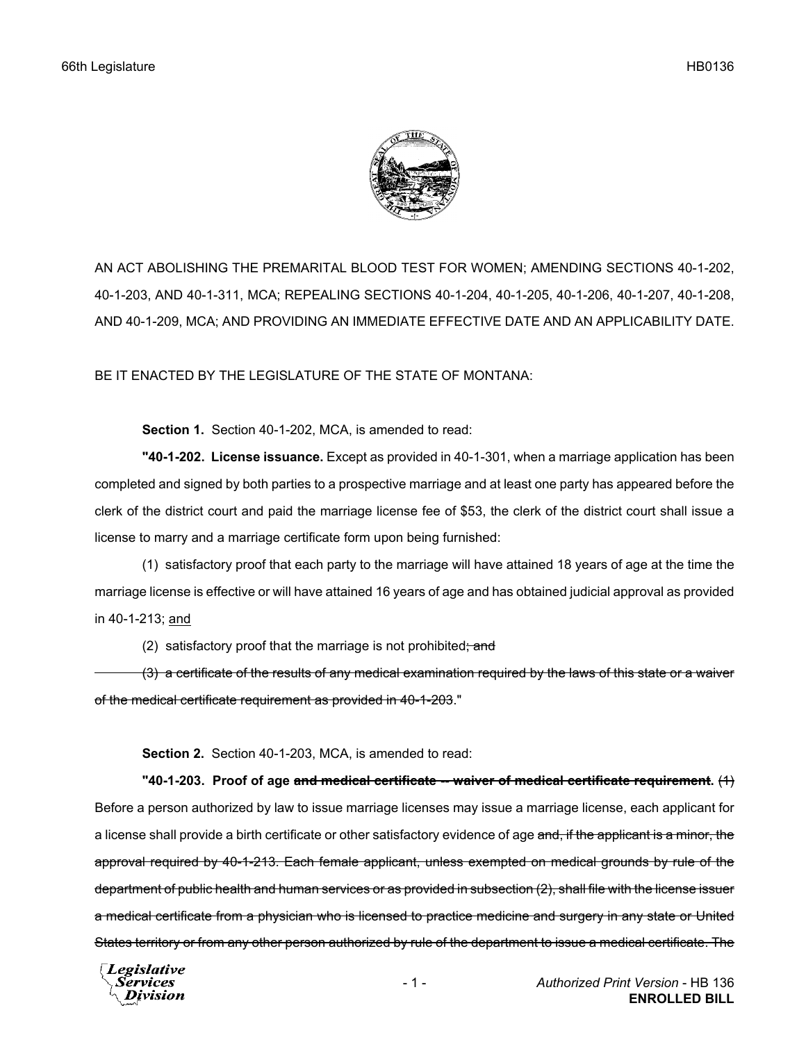

AN ACT ABOLISHING THE PREMARITAL BLOOD TEST FOR WOMEN; AMENDING SECTIONS 40-1-202, 40-1-203, AND 40-1-311, MCA; REPEALING SECTIONS 40-1-204, 40-1-205, 40-1-206, 40-1-207, 40-1-208, AND 40-1-209, MCA; AND PROVIDING AN IMMEDIATE EFFECTIVE DATE AND AN APPLICABILITY DATE.

BE IT ENACTED BY THE LEGISLATURE OF THE STATE OF MONTANA:

**Section 1.** Section 40-1-202, MCA, is amended to read:

**"40-1-202. License issuance.** Except as provided in 40-1-301, when a marriage application has been completed and signed by both parties to a prospective marriage and at least one party has appeared before the clerk of the district court and paid the marriage license fee of \$53, the clerk of the district court shall issue a license to marry and a marriage certificate form upon being furnished:

(1) satisfactory proof that each party to the marriage will have attained 18 years of age at the time the marriage license is effective or will have attained 16 years of age and has obtained judicial approval as provided in 40-1-213; and

(2) satisfactory proof that the marriage is not prohibited; and

(3) a certificate of the results of any medical examination required by the laws of this state or a waiver of the medical certificate requirement as provided in 40-1-203."

**Section 2.** Section 40-1-203, MCA, is amended to read:

**"40-1-203. Proof of age and medical certificate -- waiver of medical certificate requirement.** (1) Before a person authorized by law to issue marriage licenses may issue a marriage license, each applicant for a license shall provide a birth certificate or other satisfactory evidence of age and, if the applicant is a minor, the approval required by 40-1-213. Each female applicant, unless exempted on medical grounds by rule of the department of public health and human services or as provided in subsection (2), shall file with the license issuer a medical certificate from a physician who is licensed to practice medicine and surgery in any state or United States territory or from any other person authorized by rule of the department to issue a medical certificate. The

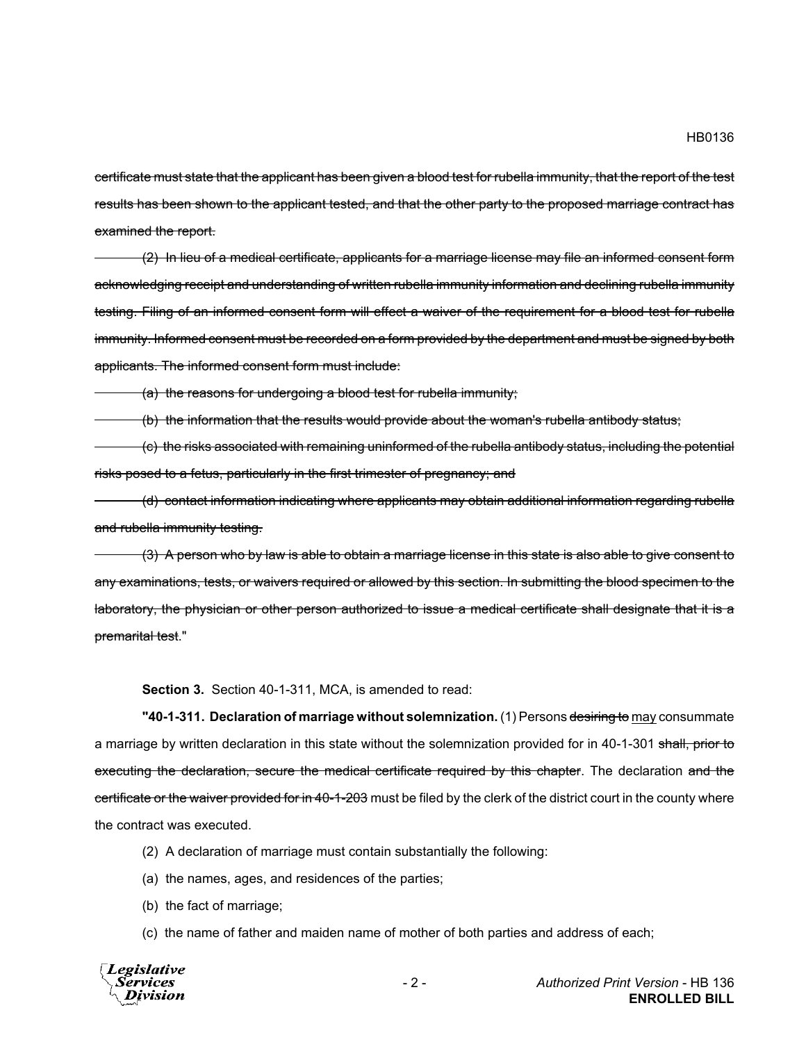certificate must state that the applicant has been given a blood test for rubella immunity, that the report of the test results has been shown to the applicant tested, and that the other party to the proposed marriage contract has examined the report.

(2) In lieu of a medical certificate, applicants for a marriage license may file an informed consent form acknowledging receipt and understanding of written rubella immunity information and declining rubella immunity testing. Filing of an informed consent form will effect a waiver of the requirement for a blood test for rubella immunity. Informed consent must be recorded on a form provided by the department and must be signed by both applicants. The informed consent form must include:

(a) the reasons for undergoing a blood test for rubella immunity;

(b) the information that the results would provide about the woman's rubella antibody status;

(c) the risks associated with remaining uninformed of the rubella antibody status, including the potential risks posed to a fetus, particularly in the first trimester of pregnancy; and

(d) contact information indicating where applicants may obtain additional information regarding rubella and rubella immunity testing.

(3) A person who by law is able to obtain a marriage license in this state is also able to give consent to any examinations, tests, or waivers required or allowed by this section. In submitting the blood specimen to the laboratory, the physician or other person authorized to issue a medical certificate shall designate that it is a premarital test."

**Section 3.** Section 40-1-311, MCA, is amended to read:

**"40-1-311. Declaration of marriage without solemnization.** (1) Persons desiring to may consummate a marriage by written declaration in this state without the solemnization provided for in 40-1-301 shall, prior to executing the declaration, secure the medical certificate required by this chapter. The declaration and the certificate or the waiver provided for in 40-1-203 must be filed by the clerk of the district court in the county where the contract was executed.

- (2) A declaration of marriage must contain substantially the following:
- (a) the names, ages, and residences of the parties;
- (b) the fact of marriage;
- (c) the name of father and maiden name of mother of both parties and address of each;

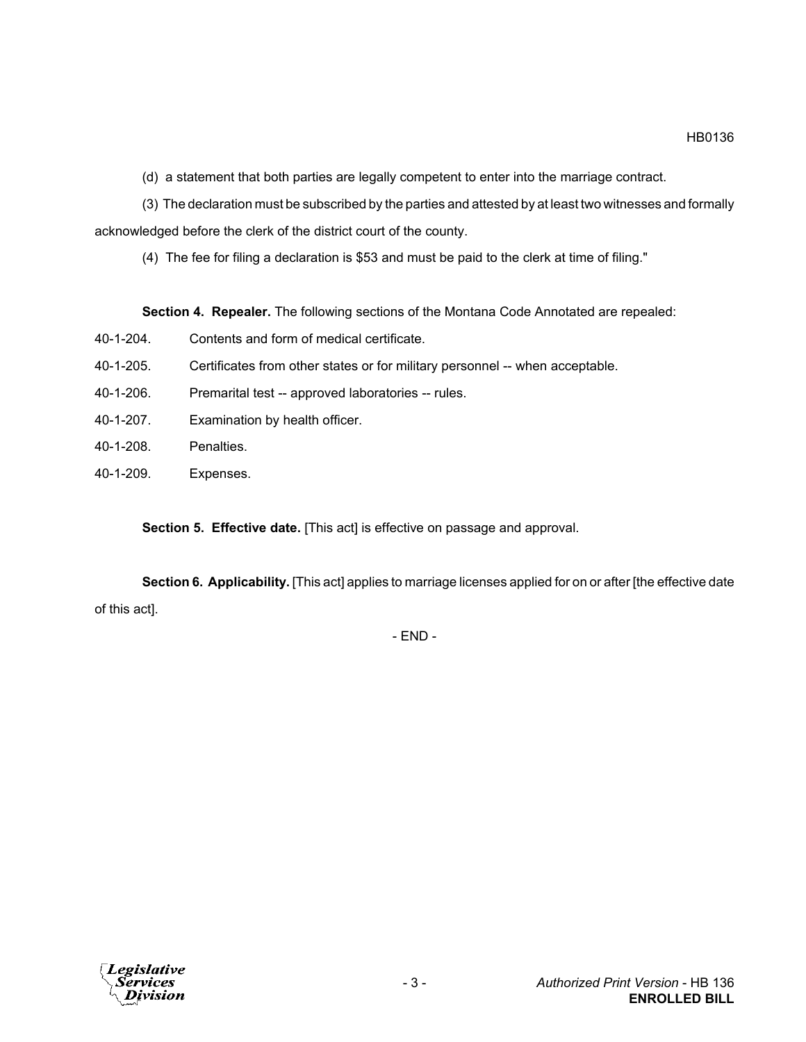(d) a statement that both parties are legally competent to enter into the marriage contract.

(3) The declaration must be subscribed by the parties and attested by at least two witnesses and formally acknowledged before the clerk of the district court of the county.

(4) The fee for filing a declaration is \$53 and must be paid to the clerk at time of filing."

**Section 4. Repealer.** The following sections of the Montana Code Annotated are repealed:

- 40-1-204. Contents and form of medical certificate.
- 40-1-205. Certificates from other states or for military personnel -- when acceptable.
- 40-1-206. Premarital test -- approved laboratories -- rules.
- 40-1-207. Examination by health officer.
- 40-1-208. Penalties.
- 40-1-209. Expenses.

**Section 5. Effective date.** [This act] is effective on passage and approval.

**Section 6. Applicability.** [This act] applies to marriage licenses applied for on or after [the effective date of this act].

- END -

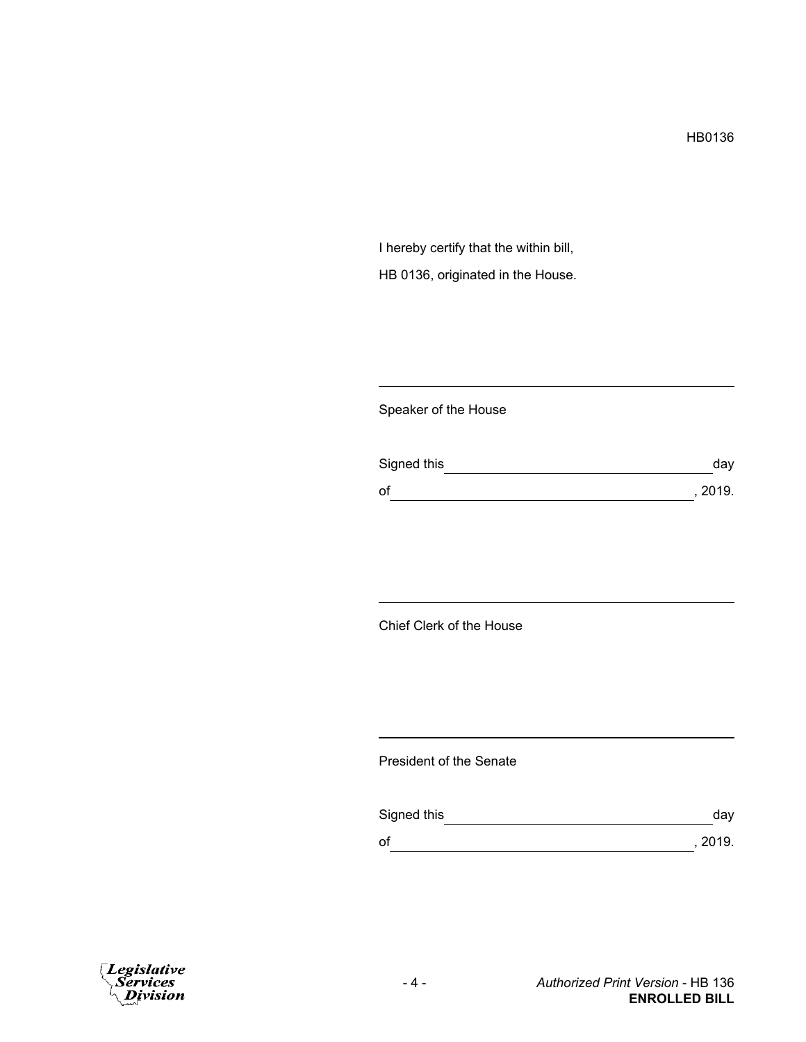I hereby certify that the within bill, HB 0136, originated in the House.

## Speaker of the House

| Signed this | day     |
|-------------|---------|
| of          | , 2019. |

## Chief Clerk of the House

## President of the Senate

| Signed this | day     |
|-------------|---------|
| of          | , 2019. |